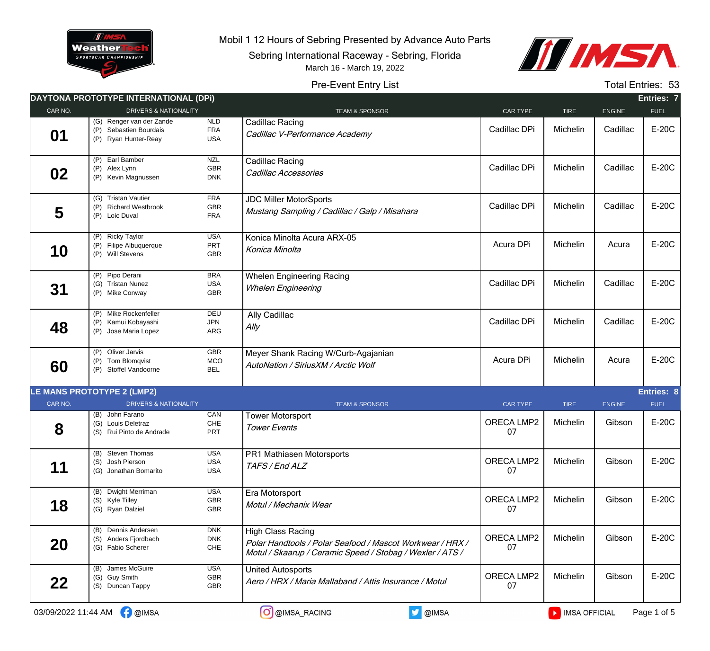

Mobil 1 12 Hours of Sebring Presented by Advance Auto Parts

Sebring International Raceway - Sebring, Florida



## Pre-Event Entry List March 16 - March 19, 2022

Total Entries: 53

|         | <b>DAYTONA PROTOTYPE INTERNATIONAL (DPI)</b>                               |                                        |                                                                                                                                             |                  |             |               | Entries: 7        |
|---------|----------------------------------------------------------------------------|----------------------------------------|---------------------------------------------------------------------------------------------------------------------------------------------|------------------|-------------|---------------|-------------------|
| CAR NO. | <b>DRIVERS &amp; NATIONALITY</b>                                           |                                        | <b>TEAM &amp; SPONSOR</b>                                                                                                                   | CAR TYPE         | <b>TIRE</b> | <b>ENGINE</b> | <b>FUEL</b>       |
| 01      | (G) Renger van der Zande<br>(P) Sebastien Bourdais<br>(P) Ryan Hunter-Reay | NLD<br><b>FRA</b><br><b>USA</b>        | Cadillac Racing<br>Cadillac V-Performance Academy                                                                                           | Cadillac DPi     | Michelin    | Cadillac      | E-20C             |
| 02      | (P) Earl Bamber<br>(P) Alex Lynn<br>(P) Kevin Magnussen                    | <b>NZL</b><br>GBR<br><b>DNK</b>        | Cadillac Racing<br>Cadillac Accessories                                                                                                     | Cadillac DPi     | Michelin    | Cadillac      | E-20C             |
| 5       | (G) Tristan Vautier<br>(P) Richard Westbrook<br>(P) Loic Duval             | <b>FRA</b><br><b>GBR</b><br><b>FRA</b> | <b>JDC Miller MotorSports</b><br>Mustang Sampling / Cadillac / Galp / Misahara                                                              | Cadillac DPi     | Michelin    | Cadillac      | E-20C             |
| 10      | (P) Ricky Taylor<br>(P) Filipe Albuquerque<br>(P) Will Stevens             | <b>USA</b><br>PRT<br><b>GBR</b>        | Konica Minolta Acura ARX-05<br>Konica Minolta                                                                                               | Acura DPi        | Michelin    | Acura         | E-20C             |
| 31      | (P) Pipo Derani<br>(G) Tristan Nunez<br>(P) Mike Conway                    | <b>BRA</b><br><b>USA</b><br><b>GBR</b> | <b>Whelen Engineering Racing</b><br><b>Whelen Engineering</b>                                                                               | Cadillac DPi     | Michelin    | Cadillac      | E-20C             |
| 48      | (P) Mike Rockenfeller<br>Kamui Kobayashi<br>(P)<br>(P) Jose Maria Lopez    | DEU<br><b>JPN</b><br>ARG               | Ally Cadillac<br>Ally                                                                                                                       | Cadillac DPi     | Michelin    | Cadillac      | E-20C             |
| 60      | (P) Oliver Jarvis<br>(P) Tom Blomqvist<br>(P) Stoffel Vandoorne            | <b>GBR</b><br>MCO<br><b>BEL</b>        | Meyer Shank Racing W/Curb-Agajanian<br>AutoNation / SiriusXM / Arctic Wolf                                                                  | Acura DPi        | Michelin    | Acura         | E-20C             |
|         | <b>LE MANS PROTOTYPE 2 (LMP2)</b>                                          |                                        |                                                                                                                                             |                  |             |               | <b>Entries: 8</b> |
| CAR NO. | <b>DRIVERS &amp; NATIONALITY</b>                                           |                                        | <b>TEAM &amp; SPONSOR</b>                                                                                                                   | <b>CAR TYPE</b>  | <b>TIRE</b> | <b>ENGINE</b> | <b>FUEL</b>       |
| 8       | (B) John Farano<br>(G) Louis Deletraz<br>(S) Rui Pinto de Andrade          | CAN<br>$CHE$<br><b>PRT</b>             | <b>Tower Motorsport</b><br><b>Tower Events</b>                                                                                              | ORECA LMP2<br>07 | Michelin    | Gibson        | E-20C             |
| 11      | (B) Steven Thomas<br>(S) Josh Pierson<br>(G) Jonathan Bomarito             | <b>USA</b><br>USA<br><b>USA</b>        | <b>PR1 Mathiasen Motorsports</b><br>TAFS / End ALZ                                                                                          | ORECA LMP2<br>07 | Michelin    | Gibson        | E-20C             |
| 18      | (B) Dwight Merriman<br>(S) Kyle Tilley<br>(G) Ryan Dalziel                 | <b>USA</b><br>GBR<br>GBR               | Era Motorsport<br>Motul / Mechanix Wear                                                                                                     | ORECA LMP2<br>07 | Michelin    | Gibson        | E-20C             |
| 20      | (B) Dennis Andersen<br>(S) Anders Fjordbach<br>(G) Fabio Scherer           | <b>DNK</b><br><b>DNK</b><br>CHE        | High Class Racing<br>Polar Handtools / Polar Seafood / Mascot Workwear / HRX /<br>Motul / Skaarup / Ceramic Speed / Stobag / Wexler / ATS / | ORECA LMP2<br>07 | Michelin    | Gibson        | E-20C             |
| 22      | (B) James McGuire<br>(G) Guy Smith<br>(S) Duncan Tappy                     | <b>USA</b><br>GBR<br>GBR               | <b>United Autosports</b><br>Aero / HRX / Maria Mallaband / Attis Insurance / Motul                                                          | ORECA LMP2<br>07 | Michelin    | Gibson        | E-20C             |
|         |                                                                            |                                        |                                                                                                                                             |                  |             |               |                   |

 $03/09/2022$  11:44 AM  $\bigcap_{i=1}^{\infty}$  @IMSA  $\bigcap_{i=1}^{\infty}$  @IMSA\_RACING  $\bigcup_{i=1}^{\infty}$  @IMSA  $\bigcap_{i=1}^{\infty}$  IMSA OFFICIAL Page 1 of 5

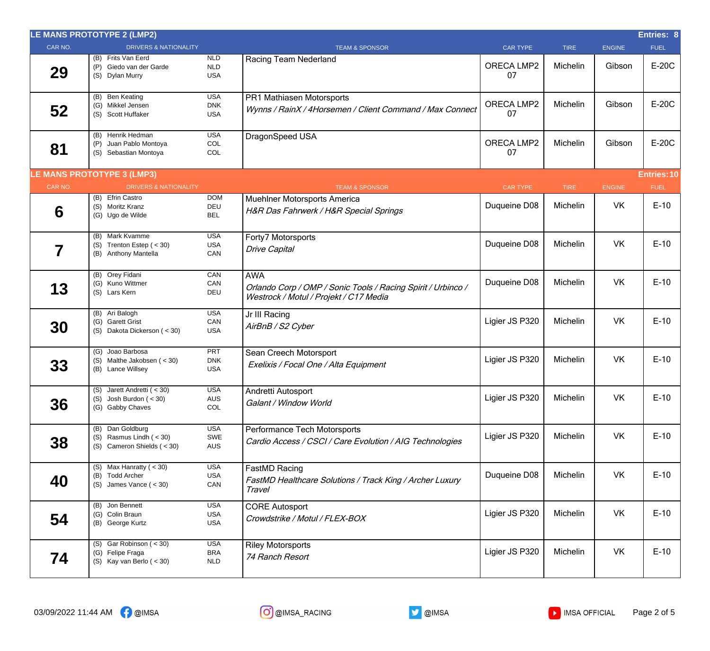|         | LE MANS PROTOTYPE 2 (LMP2)                                                    |                                        |                                                                                                                      |                  |             |               | Entries: 8         |
|---------|-------------------------------------------------------------------------------|----------------------------------------|----------------------------------------------------------------------------------------------------------------------|------------------|-------------|---------------|--------------------|
| CAR NO. | <b>DRIVERS &amp; NATIONALITY</b>                                              |                                        | <b>TEAM &amp; SPONSOR</b>                                                                                            | <b>CAR TYPE</b>  | <b>TIRE</b> | <b>ENGINE</b> | <b>FUEL</b>        |
| 29      | (B) Frits Van Eerd<br>(P) Giedo van der Garde<br>(S) Dylan Murry              | <b>NLD</b><br>NLD<br><b>USA</b>        | Racing Team Nederland                                                                                                | ORECA LMP2<br>07 | Michelin    | Gibson        | E-20C              |
| 52      | (B) Ben Keating<br>(G) Mikkel Jensen<br>(S) Scott Huffaker                    | <b>USA</b><br><b>DNK</b><br><b>USA</b> | PR1 Mathiasen Motorsports<br>Wynns / RainX / 4Horsemen / Client Command / Max Connect                                | ORECA LMP2<br>07 | Michelin    | Gibson        | E-20C              |
| 81      | (B) Henrik Hedman<br>(P) Juan Pablo Montoya<br>(S) Sebastian Montoya          | <b>USA</b><br>COL<br>COL               | DragonSpeed USA                                                                                                      | ORECA LMP2<br>07 | Michelin    | Gibson        | E-20C              |
|         | <b>LE MANS PROTOTYPE 3 (LMP3)</b>                                             |                                        |                                                                                                                      |                  |             |               | <b>Entries: 10</b> |
| CAR NO. | <b>DRIVERS &amp; NATIONALITY</b>                                              |                                        | <b>TEAM &amp; SPONSOR</b>                                                                                            | <b>CAR TYPE</b>  | <b>TIRE</b> | <b>ENGINE</b> | <b>FUEL</b>        |
| 6       | (B) Efrin Castro<br>(S) Moritz Kranz<br>(G) Ugo de Wilde                      | <b>DOM</b><br><b>DEU</b><br><b>BEL</b> | Muehlner Motorsports America<br>H&R Das Fahrwerk / H&R Special Springs                                               | Duqueine D08     | Michelin    | VK            | $E-10$             |
| 7       | (B) Mark Kvamme<br>(S) Trenton Estep $(30)$<br>(B) Anthony Mantella           | <b>USA</b><br><b>USA</b><br>CAN        | Forty7 Motorsports<br><b>Drive Capital</b>                                                                           | Duqueine D08     | Michelin    | <b>VK</b>     | $E-10$             |
| 13      | (B) Orey Fidani<br>(G) Kuno Wittmer<br>(S) Lars Kern                          | CAN<br>CAN<br>DEU                      | <b>AWA</b><br>Orlando Corp / OMP / Sonic Tools / Racing Spirit / Urbinco /<br>Westrock / Motul / Projekt / C17 Media | Duqueine D08     | Michelin    | <b>VK</b>     | $E-10$             |
| 30      | (B) Ari Balogh<br>(G) Garett Grist<br>(S) Dakota Dickerson (< 30)             | <b>USA</b><br>CAN<br><b>USA</b>        | Jr III Racing<br>AirBnB / S2 Cyber                                                                                   | Ligier JS P320   | Michelin    | <b>VK</b>     | $E-10$             |
| 33      | (G) Joao Barbosa<br>(S) Malthe Jakobsen (< 30)<br>(B) Lance Willsey           | <b>PRT</b><br><b>DNK</b><br><b>USA</b> | Sean Creech Motorsport<br>Exelixis / Focal One / Alta Equipment                                                      | Ligier JS P320   | Michelin    | VK            | $E-10$             |
| 36      | (S) Jarett Andretti (< 30)<br>$(S)$ Josh Burdon $( < 30)$<br>(G) Gabby Chaves | <b>USA</b><br>AUS<br>COL               | Andretti Autosport<br>Galant / Window World                                                                          | Ligier JS P320   | Michelin    | VK            | $E-10$             |
| 38      | (B) Dan Goldburg<br>(S) Rasmus Lindh $( < 30)$<br>(S) Cameron Shields $(30)$  | <b>USA</b><br>SWE<br><b>AUS</b>        | Performance Tech Motorsports<br>Cardio Access / CSCI / Care Evolution / AIG Technologies                             | Ligier JS P320   | Michelin    | <b>VK</b>     | $E-10$             |
| 40      | (S) Max Hanratty ( $<$ 30)<br>(B) Todd Archer<br>(S) James Vance $(30)$       | <b>USA</b><br><b>USA</b><br>CAN        | FastMD Racing<br>FastMD Healthcare Solutions / Track King / Archer Luxury<br>Travel                                  | Duqueine D08     | Michelin    | VK            | $E-10$             |
| 54      | (B) Jon Bennett<br>(G) Colin Braun<br>(B) George Kurtz                        | <b>USA</b><br><b>USA</b><br><b>USA</b> | <b>CORE Autosport</b><br>Crowdstrike / Motul / FLEX-BOX                                                              | Ligier JS P320   | Michelin    | VK            | $E-10$             |
| 74      | (S) Gar Robinson $(30)$<br>(G) Felipe Fraga<br>(S) Kay van Berlo $(30)$       | <b>USA</b><br><b>BRA</b><br><b>NLD</b> | <b>Riley Motorsports</b><br>74 Ranch Resort                                                                          | Ligier JS P320   | Michelin    | VK            | $E-10$             |



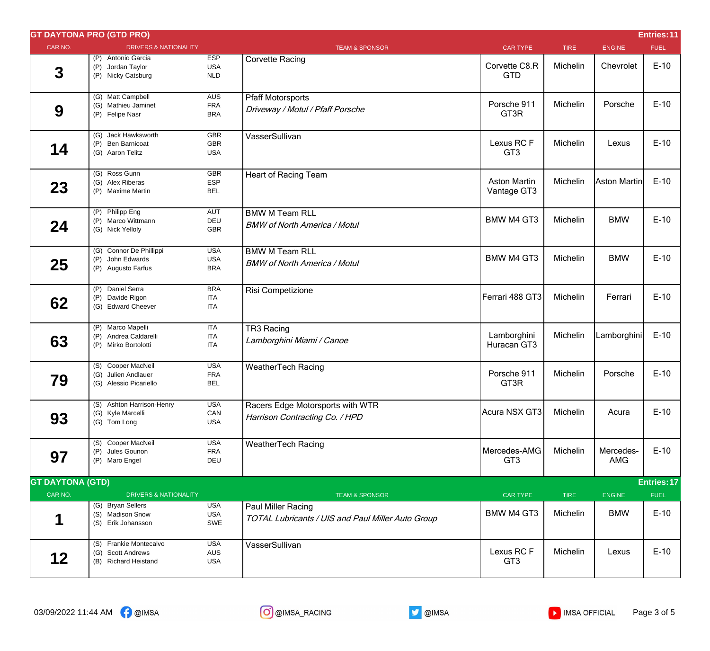|                         | <b>GT DAYTONA PRO (GTD PRO)</b>                                     |                                        |                                                                         |                                    |             |                  | Entries: 11 |
|-------------------------|---------------------------------------------------------------------|----------------------------------------|-------------------------------------------------------------------------|------------------------------------|-------------|------------------|-------------|
| CAR NO.                 | <b>DRIVERS &amp; NATIONALITY</b>                                    |                                        | <b>TEAM &amp; SPONSOR</b>                                               | <b>CAR TYPE</b>                    | <b>TIRE</b> | <b>ENGINE</b>    | <b>FUEL</b> |
| $\mathbf 3$             | (P) Antonio Garcia<br>(P) Jordan Taylor<br>(P) Nicky Catsburg       | <b>ESP</b><br><b>USA</b><br>NLD        | <b>Corvette Racing</b>                                                  | Corvette C8.R<br><b>GTD</b>        | Michelin    | Chevrolet        | $E-10$      |
| 9                       | (G) Matt Campbell<br>(G) Mathieu Jaminet<br>(P) Felipe Nasr         | <b>AUS</b><br><b>FRA</b><br><b>BRA</b> | <b>Pfaff Motorsports</b><br>Driveway / Motul / Pfaff Porsche            | Porsche 911<br>GT3R                | Michelin    | Porsche          | $E-10$      |
| 14                      | (G) Jack Hawksworth<br>(P) Ben Barnicoat<br>(G) Aaron Telitz        | GBR<br>GBR<br><b>USA</b>               | VasserSullivan                                                          | Lexus RCF<br>GT <sub>3</sub>       | Michelin    | Lexus            | $E-10$      |
| 23                      | (G) Ross Gunn<br>(G) Alex Riberas<br>(P) Maxime Martin              | <b>GBR</b><br>ESP<br><b>BEL</b>        | <b>Heart of Racing Team</b>                                             | <b>Aston Martin</b><br>Vantage GT3 | Michelin    | Aston Martin     | $E-10$      |
| 24                      | (P) Philipp Eng<br>(P) Marco Wittmann<br>(G) Nick Yelloly           | AUT<br>DEU<br>GBR                      | <b>BMW M Team RLL</b><br><b>BMW of North America / Motul</b>            | <b>BMW M4 GT3</b>                  | Michelin    | <b>BMW</b>       | $E-10$      |
| 25                      | (G) Connor De Phillippi<br>(P) John Edwards<br>(P) Augusto Farfus   | <b>USA</b><br><b>USA</b><br><b>BRA</b> | <b>BMW M Team RLL</b><br><b>BMW of North America / Motul</b>            | <b>BMW M4 GT3</b>                  | Michelin    | <b>BMW</b>       | $E-10$      |
| 62                      | (P) Daniel Serra<br>(P) Davide Rigon<br>(G) Edward Cheever          | <b>BRA</b><br><b>ITA</b><br><b>ITA</b> | Risi Competizione                                                       | Ferrari 488 GT3                    | Michelin    | Ferrari          | $E-10$      |
| 63                      | (P) Marco Mapelli<br>(P) Andrea Caldarelli<br>(P) Mirko Bortolotti  | <b>ITA</b><br><b>ITA</b><br>ITA        | TR3 Racing<br>Lamborghini Miami / Canoe                                 | Lamborghini<br>Huracan GT3         | Michelin    | Lamborghini      | $E-10$      |
| 79                      | (S) Cooper MacNeil<br>(G) Julien Andlauer<br>(G) Alessio Picariello | <b>USA</b><br><b>FRA</b><br><b>BEL</b> | <b>WeatherTech Racing</b>                                               | Porsche 911<br>GT3R                | Michelin    | Porsche          | $E-10$      |
| 93                      | (S) Ashton Harrison-Henry<br>(G) Kyle Marcelli<br>(G) Tom Long      | <b>USA</b><br>CAN<br><b>USA</b>        | Racers Edge Motorsports with WTR<br>Harrison Contracting Co. / HPD      | Acura NSX GT3                      | Michelin    | Acura            | $E-10$      |
| 97                      | (S) Cooper MacNeil<br>(P) Jules Gounon<br>(P) Maro Engel            | <b>USA</b><br><b>FRA</b><br>DEU        | <b>WeatherTech Racing</b>                                               | Mercedes-AMG<br>GT <sub>3</sub>    | Michelin    | Mercedes-<br>AMG | $E-10$      |
| <b>GT DAYTONA (GTD)</b> |                                                                     |                                        |                                                                         |                                    |             |                  | Entries: 17 |
| CAR NO.                 | <b>DRIVERS &amp; NATIONALITY</b>                                    |                                        | <b>TEAM &amp; SPONSOR</b>                                               | CAR TYPE                           | <b>TIRE</b> | ENGINE           | <b>FUEL</b> |
| 1                       | (G) Bryan Sellers<br>(S) Madison Snow<br>(S) Erik Johansson         | <b>USA</b><br><b>USA</b><br>SWE        | Paul Miller Racing<br>TOTAL Lubricants / UIS and Paul Miller Auto Group | <b>BMW M4 GT3</b>                  | Michelin    | <b>BMW</b>       | $E-10$      |
| 12                      | (S) Frankie Montecalvo<br>(G) Scott Andrews<br>(B) Richard Heistand | <b>USA</b><br>AUS<br><b>USA</b>        | VasserSullivan                                                          | Lexus RCF<br>GT <sub>3</sub>       | Michelin    | Lexus            | $E-10$      |

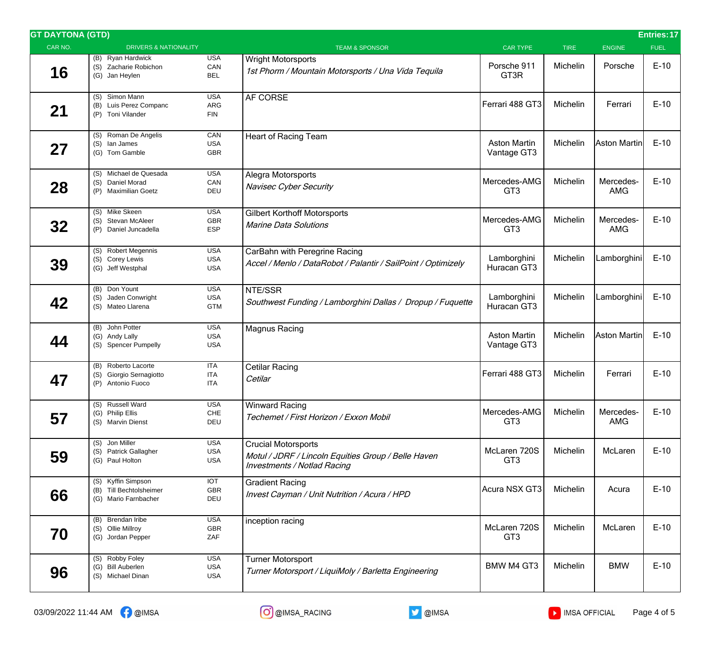| <b>GT DAYTONA (GTD)</b> |                                                                       |                                        |                                                                                                                         |                                    |             |                         | Entries: 17 |
|-------------------------|-----------------------------------------------------------------------|----------------------------------------|-------------------------------------------------------------------------------------------------------------------------|------------------------------------|-------------|-------------------------|-------------|
| CAR NO.                 | <b>DRIVERS &amp; NATIONALITY</b>                                      |                                        | <b>TEAM &amp; SPONSOR</b>                                                                                               | <b>CAR TYPE</b>                    | <b>TIRE</b> | <b>ENGINE</b>           | <b>FUEL</b> |
| 16                      | (B) Ryan Hardwick<br>(S) Zacharie Robichon<br>(G) Jan Heylen          | <b>USA</b><br>CAN<br><b>BEL</b>        | <b>Wright Motorsports</b><br>1st Phorm / Mountain Motorsports / Una Vida Tequila                                        | Porsche 911<br>GT3R                | Michelin    | Porsche                 | $E-10$      |
| 21                      | (S) Simon Mann<br>(B) Luis Perez Companc<br>(P) Toni Vilander         | <b>USA</b><br>ARG<br><b>FIN</b>        | AF CORSE                                                                                                                | Ferrari 488 GT3                    | Michelin    | Ferrari                 | $E-10$      |
| 27                      | (S) Roman De Angelis<br>(S) lan James<br>(G) Tom Gamble               | CAN<br><b>USA</b><br><b>GBR</b>        | <b>Heart of Racing Team</b>                                                                                             | <b>Aston Martin</b><br>Vantage GT3 | Michelin    | Aston Martin            | $E-10$      |
| 28                      | (S) Michael de Quesada<br>(S) Daniel Morad<br>(P) Maximilian Goetz    | <b>USA</b><br>CAN<br>DEU               | Alegra Motorsports<br>Navisec Cyber Security                                                                            | Mercedes-AMG<br>GT <sub>3</sub>    | Michelin    | Mercedes-<br><b>AMG</b> | $E-10$      |
| 32                      | (S) Mike Skeen<br>(S) Stevan McAleer<br>(P) Daniel Juncadella         | <b>USA</b><br><b>GBR</b><br><b>ESP</b> | <b>Gilbert Korthoff Motorsports</b><br><b>Marine Data Solutions</b>                                                     | Mercedes-AMG<br>GT <sub>3</sub>    | Michelin    | Mercedes-<br><b>AMG</b> | $E-10$      |
| 39                      | (S) Robert Megennis<br>(S) Corey Lewis<br>(G) Jeff Westphal           | <b>USA</b><br><b>USA</b><br><b>USA</b> | CarBahn with Peregrine Racing<br>Accel / Menlo / DataRobot / Palantir / SailPoint / Optimizely                          | Lamborghini<br>Huracan GT3         | Michelin    | Lamborghini             | $E-10$      |
| 42                      | (B) Don Yount<br>(S) Jaden Conwright<br>(S) Mateo Llarena             | <b>USA</b><br><b>USA</b><br><b>GTM</b> | NTE/SSR<br>Southwest Funding / Lamborghini Dallas / Dropup / Fuquette                                                   | Lamborghini<br>Huracan GT3         | Michelin    | Lamborghini             | $E-10$      |
| 44                      | (B) John Potter<br>(G) Andy Lally<br>(S) Spencer Pumpelly             | <b>USA</b><br><b>USA</b><br><b>USA</b> | <b>Magnus Racing</b>                                                                                                    | <b>Aston Martin</b><br>Vantage GT3 | Michelin    | Aston Martin            | $E-10$      |
| 47                      | (B) Roberto Lacorte<br>(S) Giorgio Sernagiotto<br>(P) Antonio Fuoco   | <b>ITA</b><br><b>ITA</b><br><b>ITA</b> | Cetilar Racing<br>Cetilar                                                                                               | Ferrari 488 GT3                    | Michelin    | Ferrari                 | $E-10$      |
| 57                      | (S) Russell Ward<br>(G) Philip Ellis<br>(S) Marvin Dienst             | <b>USA</b><br>CHE<br>DEU               | <b>Winward Racing</b><br>Techemet / First Horizon / Exxon Mobil                                                         | Mercedes-AMG<br>GT <sub>3</sub>    | Michelin    | Mercedes-<br><b>AMG</b> | $E-10$      |
| 59                      | (S) Jon Miller<br>(S) Patrick Gallagher<br>(G) Paul Holton            | <b>USA</b><br><b>USA</b><br><b>USA</b> | <b>Crucial Motorsports</b><br>Motul / JDRF / Lincoln Equities Group / Belle Haven<br><b>Investments / Notlad Racing</b> | McLaren 720S<br>GT <sub>3</sub>    | Michelin    | McLaren                 | $E-10$      |
| 66                      | (S) Kyffin Simpson<br>(B) Till Bechtolsheimer<br>(G) Mario Farnbacher | <b>IOT</b><br>GBR<br>DEU               | <b>Gradient Racing</b><br>Invest Cayman / Unit Nutrition / Acura / HPD                                                  | Acura NSX GT3                      | Michelin    | Acura                   | $E-10$      |
| 70                      | (B) Brendan Iribe<br>(S) Ollie Millroy<br>(G) Jordan Pepper           | <b>USA</b><br>GBR<br>ZAF               | inception racing                                                                                                        | McLaren 720S<br>GT <sub>3</sub>    | Michelin    | McLaren                 | $E-10$      |
| 96                      | (S) Robby Foley<br>(G) Bill Auberlen<br>(S) Michael Dinan             | <b>USA</b><br><b>USA</b><br><b>USA</b> | <b>Turner Motorsport</b><br>Turner Motorsport / LiquiMoly / Barletta Engineering                                        | <b>BMW M4 GT3</b>                  | Michelin    | <b>BMW</b>              | $E-10$      |